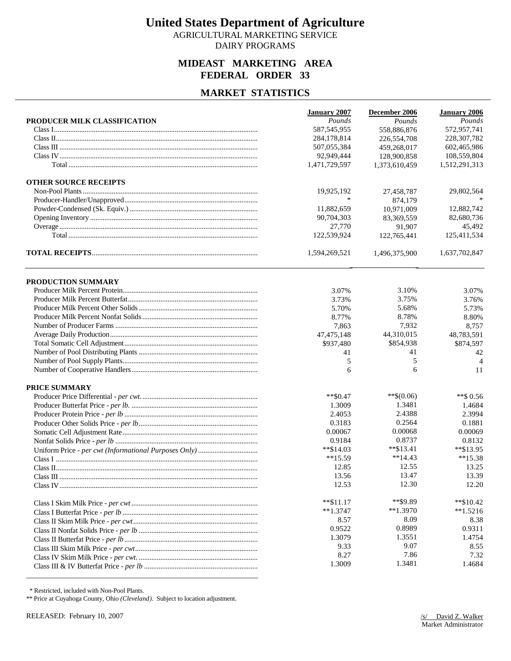AGRICULTURAL MARKETING SERVICE DAIRY PROGRAMS

### **MIDEAST MARKETING AREA FEDERAL ORDER 33**

### **MARKET STATISTICS**

|                              | <b>January 2007</b> | December 2006 | <b>January 2006</b> |
|------------------------------|---------------------|---------------|---------------------|
| PRODUCER MILK CLASSIFICATION | Pounds              | Pounds        | Pounds              |
|                              | 587, 545, 955       | 558,886,876   | 572,957,741         |
|                              | 284,178,814         | 226,554,708   | 228, 307, 782       |
|                              | 507,055,384         | 459,268,017   | 602,465,986         |
|                              | 92,949,444          | 128,900,858   | 108,559,804         |
|                              | 1,471,729,597       | 1,373,610,459 | 1,512,291,313       |
| <b>OTHER SOURCE RECEIPTS</b> |                     |               |                     |
|                              | 19,925,192          | 27,458,787    | 29,802,564          |
|                              | $\ast$              | 874,179       |                     |
|                              | 11,882,659          | 10,971,009    | 12,882,742          |
|                              | 90,704,303          | 83,369,559    | 82,680,736          |
|                              | 27,770              | 91,907        | 45,492              |
|                              | 122,539,924         | 122,765,441   | 125,411,534         |
|                              | 1,594,269,521       | 1,496,375,900 | 1,637,702,847       |
| PRODUCTION SUMMARY           |                     |               |                     |
|                              | 3.07%               | 3.10%         | 3.07%               |
|                              | 3.73%               | 3.75%         | 3.76%               |
|                              | 5.70%               | 5.68%         | 5.73%               |
|                              | 8.77%               | 8.78%         | 8.80%               |
|                              | 7,863               | 7,932         | 8,757               |
|                              | 47, 475, 148        | 44,310,015    | 48,783,591          |
|                              | \$937,480           | \$854,938     | \$874,597           |
|                              | 41                  | 41            | 42                  |
|                              | 5                   | 5             | $\overline{4}$      |
|                              | 6                   | 6             | 11                  |
| <b>PRICE SUMMARY</b>         |                     |               |                     |
|                              | $**\$0.47$          | $**\$(0.06)$  | $**$ \$ 0.56        |
|                              | 1.3009              | 1.3481        | 1.4684              |
|                              | 2.4053              | 2.4388        | 2.3994              |
|                              | 0.3183              | 0.2564        | 0.1881              |
|                              | 0.00067             | 0.00068       | 0.00069             |
|                              | 0.9184              | 0.8737        | 0.8132              |
|                              | $*$ \$14.03         | $*$ $$13.41$  | **\$13.95           |
|                              | $**15.59$           | $**14.43$     | $**15.38$           |
|                              | 12.85               | 12.55         | 13.25               |
|                              | 13.56               | 13.47         | 13.39               |
|                              | 12.53               | 12.30         | 12.20               |
|                              | $*$ $$11.17$        | **\$9.89      | $*$ \$10.42         |
|                              | $**1.3747$          | $*1.3970$     | $*1.5216$           |
|                              | 8.57                | 8.09          | 8.38                |
|                              | 0.9522              | 0.8989        | 0.9311              |
|                              | 1.3079              | 1.3551        | 1.4754              |
|                              | 9.33                | 9.07          | 8.55                |
|                              | 8.27                | 7.86          | 7.32                |
|                              | 1.3009              | 1.3481        | 1.4684              |

\* Restricted, included with Non-Pool Plants.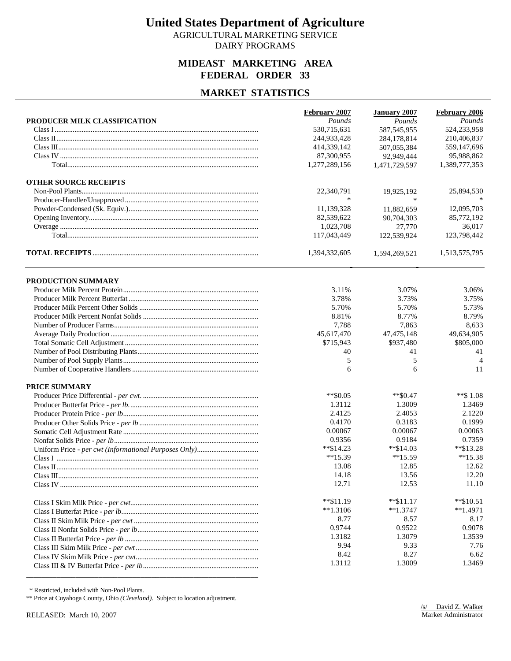AGRICULTURAL MARKETING SERVICE DAIRY PROGRAMS

### **MIDEAST MARKETING AREA FEDERAL ORDER 33**

# **MARKET STATISTICS**

|                              | February 2007 | <b>January 2007</b> | February 2006  |
|------------------------------|---------------|---------------------|----------------|
| PRODUCER MILK CLASSIFICATION | Pounds        | Pounds              | Pounds         |
|                              | 530,715,631   | 587, 545, 955       | 524,233,958    |
|                              | 244,933,428   | 284,178,814         | 210,406,837    |
|                              | 414,339,142   | 507,055,384         | 559,147,696    |
|                              | 87,300,955    | 92,949,444          | 95,988,862     |
|                              | 1,277,289,156 | 1,471,729,597       | 1,389,777,353  |
| <b>OTHER SOURCE RECEIPTS</b> |               |                     |                |
|                              | 22,340,791    | 19,925,192          | 25,894,530     |
|                              | $\ast$        | $\ast$              |                |
|                              | 11,139,328    | 11,882,659          | 12,095,703     |
|                              | 82,539,622    | 90,704,303          | 85,772,192     |
|                              | 1,023,708     | 27,770              | 36,017         |
|                              | 117,043,449   | 122,539,924         | 123,798,442    |
|                              | 1,394,332,605 | 1,594,269,521       | 1,513,575,795  |
|                              |               |                     |                |
| PRODUCTION SUMMARY           | 3.11%         |                     | 3.06%          |
|                              |               | 3.07%               |                |
|                              | 3.78%         | 3.73%               | 3.75%          |
|                              | 5.70%         | 5.70%               | 5.73%          |
|                              | 8.81%         | 8.77%               | 8.79%          |
|                              | 7,788         | 7,863               | 8,633          |
|                              | 45,617,470    | 47, 475, 148        | 49,634,905     |
|                              | \$715,943     | \$937,480           | \$805,000      |
|                              | 40            | 41                  | 41             |
|                              | 5             | 5                   | $\overline{4}$ |
|                              | 6             | 6                   | 11             |
| <b>PRICE SUMMARY</b>         |               |                     |                |
|                              | $*$ \$0.05    | $*$ \$0.47          | $**$ \$1.08    |
|                              | 1.3112        | 1.3009              | 1.3469         |
|                              | 2.4125        | 2.4053              | 2.1220         |
|                              | 0.4170        | 0.3183              | 0.1999         |
|                              | 0.00067       | 0.00067             | 0.00063        |
|                              | 0.9356        | 0.9184              | 0.7359         |
|                              | $*$ \$14.23   | $*$ \$14.03         | **\$13.28      |
|                              | $**15.39$     | $**15.59$           | $**15.38$      |
|                              | 13.08         | 12.85               | 12.62          |
|                              | 14.18         | 13.56               | 12.20          |
|                              | 12.71         | 12.53               | 11.10          |
|                              | $*$ $$11.19$  | $**\$11.17$         | $*$ \$10.51    |
|                              | $**1.3106$    | $**1.3747$          | $*1.4971$      |
|                              | 8.77          | 8.57                | 8.17           |
|                              | 0.9744        | 0.9522              | 0.9078         |
|                              | 1.3182        | 1.3079              | 1.3539         |
|                              | 9.94          | 9.33                | 7.76           |
|                              | 8.42          | 8.27                | 6.62           |
|                              | 1.3112        | 1.3009              | 1.3469         |
|                              |               |                     |                |

\* Restricted, included with Non-Pool Plants.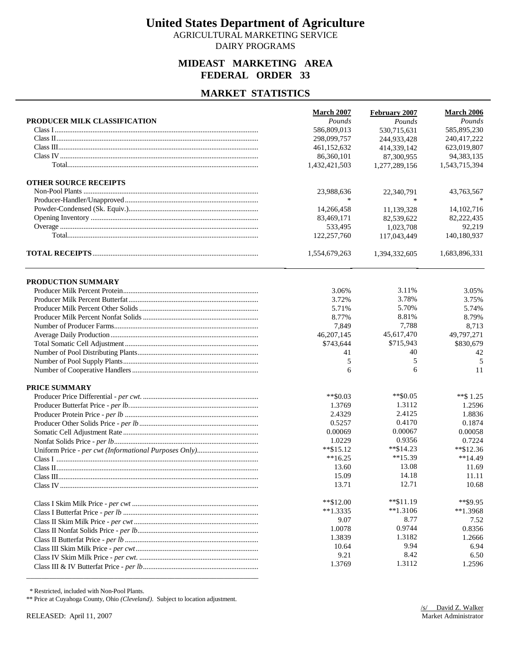AGRICULTURAL MARKETING SERVICE DAIRY PROGRAMS

# **MIDEAST MARKETING AREA FEDERAL ORDER 33**

### **MARKET STATISTICS**

|                              | <b>March 2007</b>       | February 2007 | March 2006              |
|------------------------------|-------------------------|---------------|-------------------------|
| PRODUCER MILK CLASSIFICATION | Pounds                  | Pounds        | Pounds                  |
|                              | 586,809,013             | 530,715,631   | 585,895,230             |
|                              | 298,099,757             | 244,933,428   | 240,417,222             |
|                              | 461,152,632             | 414,339,142   | 623,019,807             |
|                              | 86,360,101              | 87,300,955    | 94, 383, 135            |
|                              | 1,432,421,503           | 1,277,289,156 | 1,543,715,394           |
| <b>OTHER SOURCE RECEIPTS</b> |                         |               |                         |
|                              | 23,988,636              | 22,340,791    | 43,763,567              |
|                              |                         | $\ast$        |                         |
|                              | 14,266,458              | 11,139,328    | 14, 102, 716            |
|                              | 83,469,171              | 82,539,622    | 82,222,435              |
|                              | 533,495                 | 1,023,708     | 92,219                  |
|                              | 122,257,760             | 117,043,449   | 140,180,937             |
|                              | 1,554,679,263           | 1,394,332,605 | 1,683,896,331           |
|                              |                         |               |                         |
| PRODUCTION SUMMARY           |                         | 3.11%         |                         |
|                              | 3.06%                   | 3.78%         | 3.05%<br>3.75%          |
|                              | 3.72%                   | 5.70%         |                         |
|                              | 5.71%<br>8.77%          | 8.81%         | 5.74%<br>8.79%          |
|                              |                         | 7,788         | 8,713                   |
|                              | 7,849                   | 45,617,470    |                         |
|                              | 46,207,145<br>\$743,644 | \$715,943     | 49,797,271<br>\$830,679 |
|                              | 41                      | 40            | 42                      |
|                              | 5                       | 5             | 5                       |
|                              | 6                       | 6             | 11                      |
| PRICE SUMMARY                |                         |               |                         |
|                              | $*$ \$0.03              | $*$ \$0.05    | **\$1.25                |
|                              | 1.3769                  | 1.3112        | 1.2596                  |
|                              | 2.4329                  | 2.4125        | 1.8836                  |
|                              | 0.5257                  | 0.4170        | 0.1874                  |
|                              | 0.00069                 | 0.00067       | 0.00058                 |
|                              | 1.0229                  | 0.9356        | 0.7224                  |
|                              | $*$ $$15.12$            | $*$ $$14.23$  | $*$ \$12.36             |
|                              | $**16.25$               | $**15.39$     | $**14.49$               |
|                              | 13.60                   | 13.08         | 11.69                   |
|                              | 15.09                   | 14.18         | 11.11                   |
|                              | 13.71                   | 12.71         | 10.68                   |
|                              | $*$ $$12.00$            | $*$ \$11.19   | **\$9.95                |
|                              | $**1.3335$              | $**1.3106$    | $*1.3968$               |
|                              | 9.07                    | 8.77          | 7.52                    |
|                              | 1.0078                  | 0.9744        | 0.8356                  |
|                              | 1.3839                  | 1.3182        | 1.2666                  |
|                              | 10.64                   | 9.94          | 6.94                    |
|                              | 9.21                    | 8.42          | 6.50                    |
|                              | 1.3769                  | 1.3112        | 1.2596                  |
|                              |                         |               |                         |

\* Restricted, included with Non-Pool Plants.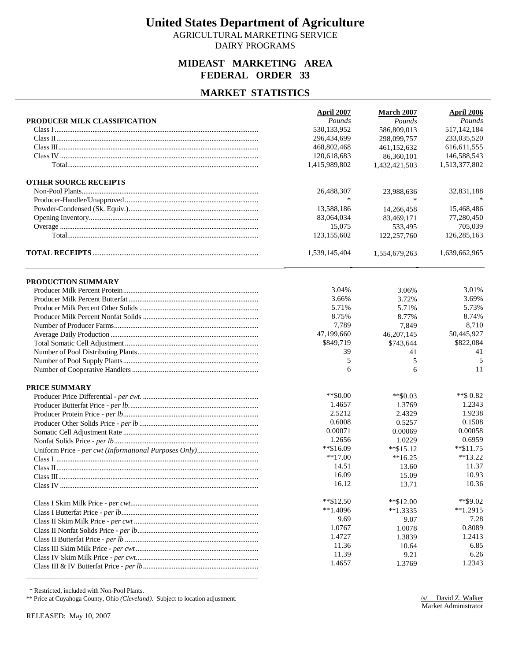AGRICULTURAL MARKETING SERVICE DAIRY PROGRAMS

### **MIDEAST MARKETING AREA FEDERAL ORDER 33**

### **MARKET STATISTICS**

|                              | April 2007     | <b>March 2007</b> | <b>April 2006</b> |
|------------------------------|----------------|-------------------|-------------------|
| PRODUCER MILK CLASSIFICATION | Pounds         | Pounds            | Pounds            |
|                              | 530,133,952    | 586,809,013       | 517, 142, 184     |
|                              | 296,434,699    | 298,099,757       | 233,035,520       |
|                              | 468,802,468    | 461,152,632       | 616, 611, 555     |
|                              | 120,618,683    | 86,360,101        | 146,588,543       |
|                              | 1,415,989,802  | 1,432,421,503     | 1,513,377,802     |
| <b>OTHER SOURCE RECEIPTS</b> |                |                   |                   |
|                              | 26,488,307     | 23,988,636        | 32,831,188        |
|                              | $\ast$         | $\ast$            |                   |
|                              | 13,588,186     | 14,266,458        | 15,468,486        |
|                              | 83,064,034     | 83,469,171        | 77,280,450        |
|                              | 15,075         | 533,495           | 705,039           |
|                              | 123,155,602    | 122,257,760       | 126,285,163       |
|                              | 1,539,145,404  | 1,554,679,263     | 1,639,662,965     |
|                              |                |                   |                   |
| PRODUCTION SUMMARY           |                |                   |                   |
|                              | 3.04%<br>3.66% | 3.06%<br>3.72%    | 3.01%<br>3.69%    |
|                              | 5.71%          | 5.71%             | 5.73%             |
|                              | 8.75%          | 8.77%             | 8.74%             |
|                              | 7,789          | 7,849             | 8,710             |
|                              | 47,199,660     | 46,207,145        | 50,445,927        |
|                              | \$849,719      | \$743,644         | \$822,084         |
|                              | 39             | 41                | 41                |
|                              | 5              | 5                 | 5                 |
|                              | 6              | 6                 | 11                |
| PRICE SUMMARY                |                |                   |                   |
|                              | $**$ \$0.00    | $*$ \$0.03        | **\$ 0.82         |
|                              | 1.4657         | 1.3769            | 1.2343            |
|                              | 2.5212         | 2.4329            | 1.9238            |
|                              | 0.6008         | 0.5257            | 0.1508            |
|                              | 0.00071        | 0.00069           | 0.00058           |
|                              | 1.2656         | 1.0229            | 0.6959            |
|                              | **\$16.09      | $*$ \$15.12       | $*$ \$11.75       |
|                              | $**17.00$      | $**16.25$         | $**13.22$         |
|                              | 14.51          | 13.60             | 11.37             |
|                              | 16.09          | 15.09             | 10.93             |
|                              | 16.12          | 13.71             | 10.36             |
|                              | $*$ $$12.50$   | $*$ \$12.00       | **\$9.02          |
|                              | $**1.4096$     | $*1.3335$         | $*1.2915$         |
|                              | 9.69           | 9.07              | 7.28              |
|                              | 1.0767         | 1.0078            | 0.8089            |
|                              | 1.4727         | 1.3839            | 1.2413            |
|                              | 11.36          | 10.64             | 6.85              |
|                              | 11.39          | 9.21              | 6.26              |
|                              | 1.4657         | 1.3769            | 1.2343            |
|                              |                |                   |                   |

\* Restricted, included with Non-Pool Plants.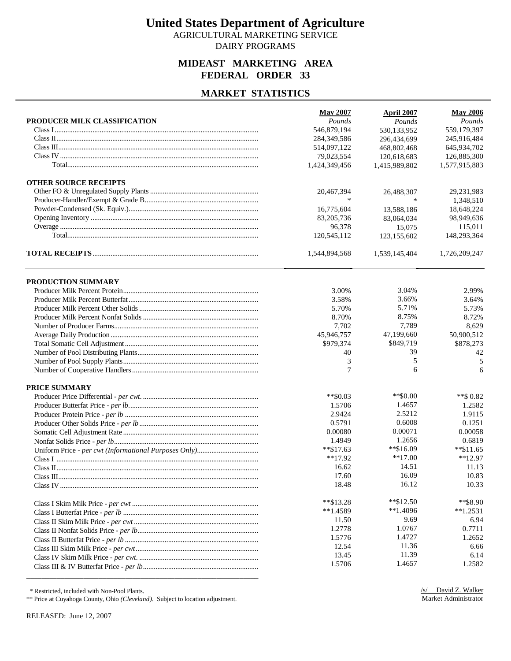AGRICULTURAL MARKETING SERVICE DAIRY PROGRAMS

# **MIDEAST MARKETING AREA FEDERAL ORDER 33**

### **MARKET STATISTICS**

|                              | <b>May 2007</b> | April 2007    | <b>May 2006</b> |
|------------------------------|-----------------|---------------|-----------------|
| PRODUCER MILK CLASSIFICATION | Pounds          | Pounds        | Pounds          |
|                              | 546,879,194     | 530,133,952   | 559,179,397     |
|                              | 284,349,586     | 296,434,699   | 245,916,484     |
|                              | 514,097,122     | 468,802,468   | 645,934,702     |
|                              | 79,023,554      | 120,618,683   | 126,885,300     |
|                              | 1,424,349,456   | 1,415,989,802 | 1,577,915,883   |
| <b>OTHER SOURCE RECEIPTS</b> |                 |               |                 |
|                              | 20,467,394      | 26,488,307    | 29,231,983      |
|                              | $\ast$          |               | 1,348,510       |
|                              | 16,775,604      | 13,588,186    | 18,648,224      |
|                              | 83,205,736      | 83,064,034    | 98,949,636      |
|                              | 96,378          | 15,075        | 115,011         |
|                              | 120,545,112     | 123,155,602   | 148,293,364     |
|                              | 1,544,894,568   | 1,539,145,404 | 1,726,209,247   |
|                              |                 |               |                 |
| PRODUCTION SUMMARY           |                 |               |                 |
|                              | 3.00%           | 3.04%         | 2.99%           |
|                              | 3.58%           | 3.66%         | 3.64%           |
|                              | 5.70%           | 5.71%         | 5.73%           |
|                              | 8.70%           | 8.75%         | 8.72%           |
|                              | 7,702           | 7,789         | 8,629           |
|                              | 45,946,757      | 47,199,660    | 50,900,512      |
|                              | \$979,374       | \$849,719     | \$878,273       |
|                              | 40              | 39            | 42              |
|                              | 3               | 5             | 5               |
|                              | 7               | 6             | 6               |
| PRICE SUMMARY                |                 |               |                 |
|                              | $*$ \$0.03      | $**$ \$0.00   | $**$ \$ 0.82    |
|                              | 1.5706          | 1.4657        | 1.2582          |
|                              | 2.9424          | 2.5212        | 1.9115          |
|                              | 0.5791          | 0.6008        | 0.1251          |
|                              | 0.00080         | 0.00071       | 0.00058         |
|                              | 1.4949          | 1.2656        | 0.6819          |
|                              | $**\$17.63$     | **\$16.09     | $*$ \$11.65     |
|                              | $**17.92$       | $**17.00$     | $*12.97$        |
|                              | 16.62           | 14.51         | 11.13           |
|                              | 17.60           | 16.09         | 10.83           |
|                              | 18.48           | 16.12         | 10.33           |
|                              | $*$ $$13.28$    | $*$ \$12.50   | **\$8.90        |
|                              | $**1.4589$      | $**1.4096$    | $*1.2531$       |
|                              | 11.50           | 9.69          | 6.94            |
|                              | 1.2778          | 1.0767        | 0.7711          |
|                              | 1.5776          | 1.4727        | 1.2652          |
|                              | 12.54           | 11.36         | 6.66            |
|                              | 13.45           | 11.39         | 6.14            |
|                              | 1.5706          | 1.4657        | 1.2582          |
|                              |                 |               |                 |

\* Restricted, included with Non-Pool Plants.

\*\* Price at Cuyahoga County, Ohio *(Cleveland)*. Subject to location adjustment.

RELEASED: June 12, 2007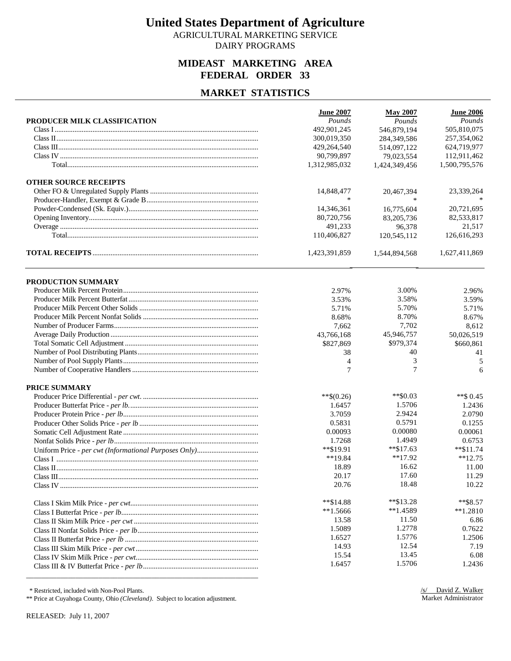AGRICULTURAL MARKETING SERVICE DAIRY PROGRAMS

### **MIDEAST MARKETING AREA FEDERAL ORDER 33**

### **MARKET STATISTICS**

| PRODUCER MILK CLASSIFICATION<br>Pounds<br>Pounds<br>Pounds<br>505,810,075<br>492.901.245<br>546,879,194<br>300,019,350<br>257,354,062<br>284,349,586<br>624,719,977<br>429,264,540<br>514,097,122<br>90,799,897<br>112,911,462<br>79,023,554<br>1,312,985,032<br>1,500,795,576<br>1,424,349,456<br><b>OTHER SOURCE RECEIPTS</b><br>14,848,477<br>23,339,264<br>20,467,394<br>$\ast$<br>14,346,361<br>16,775,604<br>20,721,695<br>82,533,817<br>80,720,756<br>83,205,736<br>491,233<br>96,378<br>21,517<br>126,616,293<br>110,406,827<br>120,545,112<br>1,423,391,859<br>1,544,894,568<br>1,627,411,869<br>PRODUCTION SUMMARY<br>3.00%<br>2.97%<br>2.96%<br>3.58%<br>3.53%<br>3.59%<br>5.70%<br>5.71%<br>5.71%<br>8.70%<br>8.68%<br>8.67%<br>7,702<br>7.662<br>8,612<br>43,766,168<br>45,946,757<br>50,026,519<br>\$827,869<br>\$979,374<br>\$660,861<br>40<br>38<br>41<br>3<br>4<br>5<br>7<br>7<br>6<br>PRICE SUMMARY<br>$*$ \$0.03<br>$**$(0.26)$<br>$**$ \$ 0.45<br>1.5706<br>1.2436<br>1.6457<br>2.9424<br>2.0790<br>3.7059<br>0.5791<br>0.5831<br>0.1255<br>0.00080<br>0.00061<br>0.00093<br>1.4949<br>1.7268<br>0.6753<br>**\$19.91<br>$*$ \$17.63<br>$*$ \$11.74<br>$*12.75$<br>$**19.84$<br>$**17.92$<br>16.62<br>18.89<br>11.00<br>17.60<br>11.29<br>20.17<br>18.48<br>10.22<br>20.76<br>$*$ $$13.28$<br>$*$ $$8.57$<br>$*$ $$14.88$<br>$*1.4589$<br>$**1.5666$<br>$*1.2810$<br>11.50<br>13.58<br>6.86<br>1.2778<br>1.5089<br>0.7622<br>1.5776<br>1.6527<br>1.2506<br>12.54<br>14.93<br>7.19<br>13.45<br>6.08<br>15.54<br>1.5706<br>1.6457<br>1.2436 | <b>June 2007</b> | <b>May 2007</b> | <b>June 2006</b> |
|--------------------------------------------------------------------------------------------------------------------------------------------------------------------------------------------------------------------------------------------------------------------------------------------------------------------------------------------------------------------------------------------------------------------------------------------------------------------------------------------------------------------------------------------------------------------------------------------------------------------------------------------------------------------------------------------------------------------------------------------------------------------------------------------------------------------------------------------------------------------------------------------------------------------------------------------------------------------------------------------------------------------------------------------------------------------------------------------------------------------------------------------------------------------------------------------------------------------------------------------------------------------------------------------------------------------------------------------------------------------------------------------------------------------------------------------------------------------------------------------------------------------------------------------------------------|------------------|-----------------|------------------|
|                                                                                                                                                                                                                                                                                                                                                                                                                                                                                                                                                                                                                                                                                                                                                                                                                                                                                                                                                                                                                                                                                                                                                                                                                                                                                                                                                                                                                                                                                                                                                              |                  |                 |                  |
|                                                                                                                                                                                                                                                                                                                                                                                                                                                                                                                                                                                                                                                                                                                                                                                                                                                                                                                                                                                                                                                                                                                                                                                                                                                                                                                                                                                                                                                                                                                                                              |                  |                 |                  |
|                                                                                                                                                                                                                                                                                                                                                                                                                                                                                                                                                                                                                                                                                                                                                                                                                                                                                                                                                                                                                                                                                                                                                                                                                                                                                                                                                                                                                                                                                                                                                              |                  |                 |                  |
|                                                                                                                                                                                                                                                                                                                                                                                                                                                                                                                                                                                                                                                                                                                                                                                                                                                                                                                                                                                                                                                                                                                                                                                                                                                                                                                                                                                                                                                                                                                                                              |                  |                 |                  |
|                                                                                                                                                                                                                                                                                                                                                                                                                                                                                                                                                                                                                                                                                                                                                                                                                                                                                                                                                                                                                                                                                                                                                                                                                                                                                                                                                                                                                                                                                                                                                              |                  |                 |                  |
|                                                                                                                                                                                                                                                                                                                                                                                                                                                                                                                                                                                                                                                                                                                                                                                                                                                                                                                                                                                                                                                                                                                                                                                                                                                                                                                                                                                                                                                                                                                                                              |                  |                 |                  |
|                                                                                                                                                                                                                                                                                                                                                                                                                                                                                                                                                                                                                                                                                                                                                                                                                                                                                                                                                                                                                                                                                                                                                                                                                                                                                                                                                                                                                                                                                                                                                              |                  |                 |                  |
|                                                                                                                                                                                                                                                                                                                                                                                                                                                                                                                                                                                                                                                                                                                                                                                                                                                                                                                                                                                                                                                                                                                                                                                                                                                                                                                                                                                                                                                                                                                                                              |                  |                 |                  |
|                                                                                                                                                                                                                                                                                                                                                                                                                                                                                                                                                                                                                                                                                                                                                                                                                                                                                                                                                                                                                                                                                                                                                                                                                                                                                                                                                                                                                                                                                                                                                              |                  |                 |                  |
|                                                                                                                                                                                                                                                                                                                                                                                                                                                                                                                                                                                                                                                                                                                                                                                                                                                                                                                                                                                                                                                                                                                                                                                                                                                                                                                                                                                                                                                                                                                                                              |                  |                 |                  |
|                                                                                                                                                                                                                                                                                                                                                                                                                                                                                                                                                                                                                                                                                                                                                                                                                                                                                                                                                                                                                                                                                                                                                                                                                                                                                                                                                                                                                                                                                                                                                              |                  |                 |                  |
|                                                                                                                                                                                                                                                                                                                                                                                                                                                                                                                                                                                                                                                                                                                                                                                                                                                                                                                                                                                                                                                                                                                                                                                                                                                                                                                                                                                                                                                                                                                                                              |                  |                 |                  |
|                                                                                                                                                                                                                                                                                                                                                                                                                                                                                                                                                                                                                                                                                                                                                                                                                                                                                                                                                                                                                                                                                                                                                                                                                                                                                                                                                                                                                                                                                                                                                              |                  |                 |                  |
|                                                                                                                                                                                                                                                                                                                                                                                                                                                                                                                                                                                                                                                                                                                                                                                                                                                                                                                                                                                                                                                                                                                                                                                                                                                                                                                                                                                                                                                                                                                                                              |                  |                 |                  |
|                                                                                                                                                                                                                                                                                                                                                                                                                                                                                                                                                                                                                                                                                                                                                                                                                                                                                                                                                                                                                                                                                                                                                                                                                                                                                                                                                                                                                                                                                                                                                              |                  |                 |                  |
|                                                                                                                                                                                                                                                                                                                                                                                                                                                                                                                                                                                                                                                                                                                                                                                                                                                                                                                                                                                                                                                                                                                                                                                                                                                                                                                                                                                                                                                                                                                                                              |                  |                 |                  |
|                                                                                                                                                                                                                                                                                                                                                                                                                                                                                                                                                                                                                                                                                                                                                                                                                                                                                                                                                                                                                                                                                                                                                                                                                                                                                                                                                                                                                                                                                                                                                              |                  |                 |                  |
|                                                                                                                                                                                                                                                                                                                                                                                                                                                                                                                                                                                                                                                                                                                                                                                                                                                                                                                                                                                                                                                                                                                                                                                                                                                                                                                                                                                                                                                                                                                                                              |                  |                 |                  |
|                                                                                                                                                                                                                                                                                                                                                                                                                                                                                                                                                                                                                                                                                                                                                                                                                                                                                                                                                                                                                                                                                                                                                                                                                                                                                                                                                                                                                                                                                                                                                              |                  |                 |                  |
|                                                                                                                                                                                                                                                                                                                                                                                                                                                                                                                                                                                                                                                                                                                                                                                                                                                                                                                                                                                                                                                                                                                                                                                                                                                                                                                                                                                                                                                                                                                                                              |                  |                 |                  |
|                                                                                                                                                                                                                                                                                                                                                                                                                                                                                                                                                                                                                                                                                                                                                                                                                                                                                                                                                                                                                                                                                                                                                                                                                                                                                                                                                                                                                                                                                                                                                              |                  |                 |                  |
|                                                                                                                                                                                                                                                                                                                                                                                                                                                                                                                                                                                                                                                                                                                                                                                                                                                                                                                                                                                                                                                                                                                                                                                                                                                                                                                                                                                                                                                                                                                                                              |                  |                 |                  |
|                                                                                                                                                                                                                                                                                                                                                                                                                                                                                                                                                                                                                                                                                                                                                                                                                                                                                                                                                                                                                                                                                                                                                                                                                                                                                                                                                                                                                                                                                                                                                              |                  |                 |                  |
|                                                                                                                                                                                                                                                                                                                                                                                                                                                                                                                                                                                                                                                                                                                                                                                                                                                                                                                                                                                                                                                                                                                                                                                                                                                                                                                                                                                                                                                                                                                                                              |                  |                 |                  |
|                                                                                                                                                                                                                                                                                                                                                                                                                                                                                                                                                                                                                                                                                                                                                                                                                                                                                                                                                                                                                                                                                                                                                                                                                                                                                                                                                                                                                                                                                                                                                              |                  |                 |                  |
|                                                                                                                                                                                                                                                                                                                                                                                                                                                                                                                                                                                                                                                                                                                                                                                                                                                                                                                                                                                                                                                                                                                                                                                                                                                                                                                                                                                                                                                                                                                                                              |                  |                 |                  |
|                                                                                                                                                                                                                                                                                                                                                                                                                                                                                                                                                                                                                                                                                                                                                                                                                                                                                                                                                                                                                                                                                                                                                                                                                                                                                                                                                                                                                                                                                                                                                              |                  |                 |                  |
|                                                                                                                                                                                                                                                                                                                                                                                                                                                                                                                                                                                                                                                                                                                                                                                                                                                                                                                                                                                                                                                                                                                                                                                                                                                                                                                                                                                                                                                                                                                                                              |                  |                 |                  |
|                                                                                                                                                                                                                                                                                                                                                                                                                                                                                                                                                                                                                                                                                                                                                                                                                                                                                                                                                                                                                                                                                                                                                                                                                                                                                                                                                                                                                                                                                                                                                              |                  |                 |                  |
|                                                                                                                                                                                                                                                                                                                                                                                                                                                                                                                                                                                                                                                                                                                                                                                                                                                                                                                                                                                                                                                                                                                                                                                                                                                                                                                                                                                                                                                                                                                                                              |                  |                 |                  |
|                                                                                                                                                                                                                                                                                                                                                                                                                                                                                                                                                                                                                                                                                                                                                                                                                                                                                                                                                                                                                                                                                                                                                                                                                                                                                                                                                                                                                                                                                                                                                              |                  |                 |                  |
|                                                                                                                                                                                                                                                                                                                                                                                                                                                                                                                                                                                                                                                                                                                                                                                                                                                                                                                                                                                                                                                                                                                                                                                                                                                                                                                                                                                                                                                                                                                                                              |                  |                 |                  |
|                                                                                                                                                                                                                                                                                                                                                                                                                                                                                                                                                                                                                                                                                                                                                                                                                                                                                                                                                                                                                                                                                                                                                                                                                                                                                                                                                                                                                                                                                                                                                              |                  |                 |                  |
|                                                                                                                                                                                                                                                                                                                                                                                                                                                                                                                                                                                                                                                                                                                                                                                                                                                                                                                                                                                                                                                                                                                                                                                                                                                                                                                                                                                                                                                                                                                                                              |                  |                 |                  |
|                                                                                                                                                                                                                                                                                                                                                                                                                                                                                                                                                                                                                                                                                                                                                                                                                                                                                                                                                                                                                                                                                                                                                                                                                                                                                                                                                                                                                                                                                                                                                              |                  |                 |                  |
|                                                                                                                                                                                                                                                                                                                                                                                                                                                                                                                                                                                                                                                                                                                                                                                                                                                                                                                                                                                                                                                                                                                                                                                                                                                                                                                                                                                                                                                                                                                                                              |                  |                 |                  |
|                                                                                                                                                                                                                                                                                                                                                                                                                                                                                                                                                                                                                                                                                                                                                                                                                                                                                                                                                                                                                                                                                                                                                                                                                                                                                                                                                                                                                                                                                                                                                              |                  |                 |                  |
|                                                                                                                                                                                                                                                                                                                                                                                                                                                                                                                                                                                                                                                                                                                                                                                                                                                                                                                                                                                                                                                                                                                                                                                                                                                                                                                                                                                                                                                                                                                                                              |                  |                 |                  |
|                                                                                                                                                                                                                                                                                                                                                                                                                                                                                                                                                                                                                                                                                                                                                                                                                                                                                                                                                                                                                                                                                                                                                                                                                                                                                                                                                                                                                                                                                                                                                              |                  |                 |                  |
|                                                                                                                                                                                                                                                                                                                                                                                                                                                                                                                                                                                                                                                                                                                                                                                                                                                                                                                                                                                                                                                                                                                                                                                                                                                                                                                                                                                                                                                                                                                                                              |                  |                 |                  |
|                                                                                                                                                                                                                                                                                                                                                                                                                                                                                                                                                                                                                                                                                                                                                                                                                                                                                                                                                                                                                                                                                                                                                                                                                                                                                                                                                                                                                                                                                                                                                              |                  |                 |                  |
|                                                                                                                                                                                                                                                                                                                                                                                                                                                                                                                                                                                                                                                                                                                                                                                                                                                                                                                                                                                                                                                                                                                                                                                                                                                                                                                                                                                                                                                                                                                                                              |                  |                 |                  |
|                                                                                                                                                                                                                                                                                                                                                                                                                                                                                                                                                                                                                                                                                                                                                                                                                                                                                                                                                                                                                                                                                                                                                                                                                                                                                                                                                                                                                                                                                                                                                              |                  |                 |                  |
|                                                                                                                                                                                                                                                                                                                                                                                                                                                                                                                                                                                                                                                                                                                                                                                                                                                                                                                                                                                                                                                                                                                                                                                                                                                                                                                                                                                                                                                                                                                                                              |                  |                 |                  |
|                                                                                                                                                                                                                                                                                                                                                                                                                                                                                                                                                                                                                                                                                                                                                                                                                                                                                                                                                                                                                                                                                                                                                                                                                                                                                                                                                                                                                                                                                                                                                              |                  |                 |                  |

\* Restricted, included with Non-Pool Plants.

\*\* Price at Cuyahoga County, Ohio *(Cleveland)*. Subject to location adjustment.

RELEASED: July 11, 2007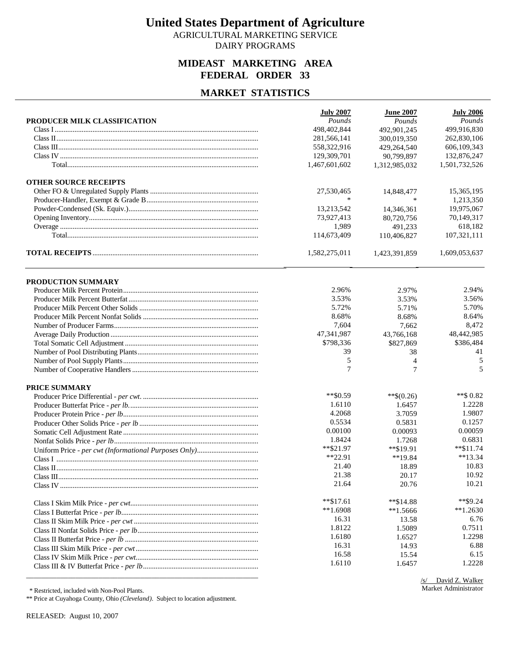AGRICULTURAL MARKETING SERVICE DAIRY PROGRAMS

### **MIDEAST MARKETING AREA FEDERAL ORDER 33**

### **MARKET STATISTICS**

|                              | <b>July 2007</b> | <b>June 2007</b>        | <b>July 2006</b> |
|------------------------------|------------------|-------------------------|------------------|
| PRODUCER MILK CLASSIFICATION | Pounds           | Pounds                  | Pounds           |
|                              | 498,402,844      | 492,901,245             | 499,916,830      |
|                              | 281,566,141      | 300,019,350             | 262,830,106      |
|                              | 558,322,916      | 429,264,540             | 606,109,343      |
|                              | 129,309,701      | 90,799,897              | 132,876,247      |
|                              | 1,467,601,602    | 1,312,985,032           | 1,501,732,526    |
| <b>OTHER SOURCE RECEIPTS</b> |                  |                         |                  |
|                              | 27,530,465       | 14,848,477              | 15,365,195       |
|                              | $\ast$           |                         | 1,213,350        |
|                              | 13,213,542       | 14,346,361              | 19,975,067       |
|                              | 73,927,413       | 80,720,756              | 70,149,317       |
|                              | 1,989            | 491,233                 | 618,182          |
|                              | 114,673,409      | 110,406,827             | 107,321,111      |
|                              | 1,582,275,011    | 1,423,391,859           | 1,609,053,637    |
|                              |                  |                         |                  |
| PRODUCTION SUMMARY           | 2.96%            |                         | 2.94%            |
|                              | 3.53%            | 2.97%<br>3.53%          | 3.56%            |
|                              | 5.72%            |                         | 5.70%            |
|                              | 8.68%            | 5.71%                   | 8.64%            |
|                              | 7,604            | 8.68%                   | 8,472            |
|                              | 47,341,987       | 7,662                   | 48,442,985       |
|                              | \$798,336        | 43,766,168<br>\$827,869 | \$386,484        |
|                              | 39               | 38                      | 41               |
|                              | 5                | $\overline{4}$          | 5                |
|                              | 7                | $\tau$                  | 5                |
|                              |                  |                         |                  |
| PRICE SUMMARY                | ** \$0.59        | **\$ $(0.26)$           | $**$ \$ 0.82     |
|                              | 1.6110           | 1.6457                  | 1.2228           |
|                              | 4.2068           | 3.7059                  | 1.9807           |
|                              | 0.5534           | 0.5831                  | 0.1257           |
|                              | 0.00100          | 0.00093                 | 0.00059          |
|                              | 1.8424           | 1.7268                  | 0.6831           |
|                              | $*$ $$21.97$     | **\$19.91               | $*$ \$11.74      |
|                              | $*22.91$         | $**19.84$               | $**13.34$        |
|                              | 21.40            | 18.89                   | 10.83            |
|                              | 21.38            | 20.17                   | 10.92            |
|                              | 21.64            | 20.76                   | 10.21            |
|                              |                  |                         |                  |
|                              | $*$ \$17.61      | **\$14.88               | $*$ \$9.24       |
|                              | $**1.6908$       | $*1.5666$               | $*1.2630$        |
|                              | 16.31            | 13.58                   | 6.76             |
|                              | 1.8122           | 1.5089                  | 0.7511           |
|                              | 1.6180           | 1.6527                  | 1.2298           |
|                              | 16.31            | 14.93                   | 6.88             |
|                              | 16.58            | 15.54                   | 6.15             |
|                              | 1.6110           | 1.6457                  | 1.2228           |
|                              |                  |                         |                  |

/s/ David Z. Walker Market Administrator

\* Restricted, included with Non-Pool Plants.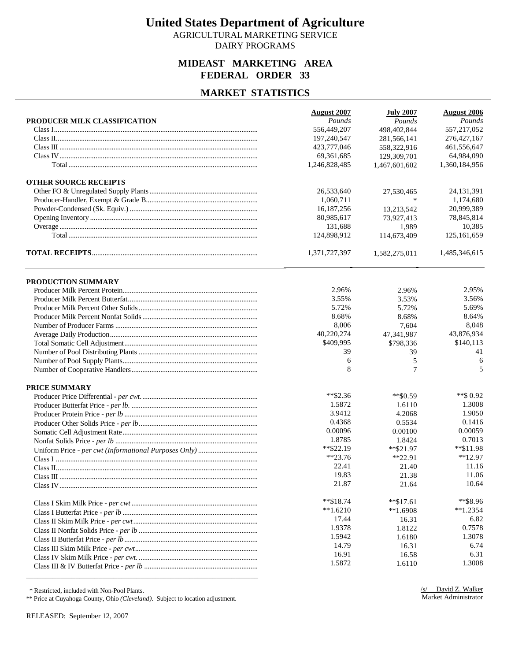AGRICULTURAL MARKETING SERVICE DAIRY PROGRAMS

### **MIDEAST MARKETING AREA FEDERAL ORDER 33**

### **MARKET STATISTICS**

|                              | <b>August 2007</b> | <b>July 2007</b>    | <b>August 2006</b> |
|------------------------------|--------------------|---------------------|--------------------|
| PRODUCER MILK CLASSIFICATION | Pounds             | Pounds              | Pounds             |
|                              | 556,449,207        | 498,402,844         | 557,217,052        |
|                              | 197,240,547        | 281,566,141         | 276, 427, 167      |
|                              | 423,777,046        | 558,322,916         | 461,556,647        |
|                              | 69, 361, 685       | 129,309,701         | 64,984,090         |
|                              | 1,246,828,485      | 1,467,601,602       | 1,360,184,956      |
| <b>OTHER SOURCE RECEIPTS</b> |                    |                     |                    |
|                              | 26,533,640         | 27,530,465          | 24, 131, 391       |
|                              | 1,060,711          | $\ast$              | 1,174,680          |
|                              | 16,187,256         | 13,213,542          | 20,999,389         |
|                              | 80,985,617         | 73,927,413          | 78,845,814         |
|                              | 131,688            | 1,989               | 10,385             |
|                              | 124,898,912        | 114,673,409         | 125,161,659        |
|                              | 1,371,727,397      | 1,582,275,011       | 1,485,346,615      |
|                              |                    |                     |                    |
| <b>PRODUCTION SUMMARY</b>    |                    |                     |                    |
|                              | 2.96%<br>3.55%     | 2.96%               | 2.95%<br>3.56%     |
|                              | 5.72%              | 3.53%               | 5.69%              |
|                              | 8.68%              | 5.72%<br>8.68%      | 8.64%              |
|                              | 8,006              |                     | 8,048              |
|                              | 40,220,274         | 7,604<br>47.341.987 |                    |
|                              |                    |                     | 43,876,934         |
|                              | \$409,995<br>39    | \$798,336           | \$140,113<br>41    |
|                              | 6                  | 39                  |                    |
|                              | 8                  | 5<br>7              | 6<br>5             |
|                              |                    |                     |                    |
| PRICE SUMMARY                |                    |                     |                    |
|                              | $*$ $$2.36$        | $*$ \$0.59          | **\$ $0.92$        |
|                              | 1.5872             | 1.6110              | 1.3008             |
|                              | 3.9412             | 4.2068              | 1.9050             |
|                              | 0.4368             | 0.5534              | 0.1416             |
|                              | 0.00096            | 0.00100             | 0.00059            |
|                              | 1.8785             | 1.8424              | 0.7013             |
|                              | ** \$22.19         | $*$ \$21.97         | **\$11.98          |
|                              | $**23.76$          | $*22.91$            | $**12.97$          |
|                              | 22.41              | 21.40               | 11.16              |
|                              | 19.83              | 21.38               | 11.06              |
|                              | 21.87              | 21.64               | 10.64              |
|                              | $*$ $$18.74$       | $*$ \$17.61         | **\$8.96           |
|                              | $**1.6210$         | $**1.6908$          | $*1.2354$          |
|                              | 17.44              | 16.31               | 6.82               |
|                              | 1.9378             | 1.8122              | 0.7578             |
|                              | 1.5942             | 1.6180              | 1.3078             |
|                              | 14.79              | 16.31               | 6.74               |
|                              | 16.91              | 16.58               | 6.31               |
|                              | 1.5872             | 1.6110              | 1.3008             |
|                              |                    |                     |                    |

\* Restricted, included with Non-Pool Plants.

\*\* Price at Cuyahoga County, Ohio *(Cleveland)*. Subject to location adjustment.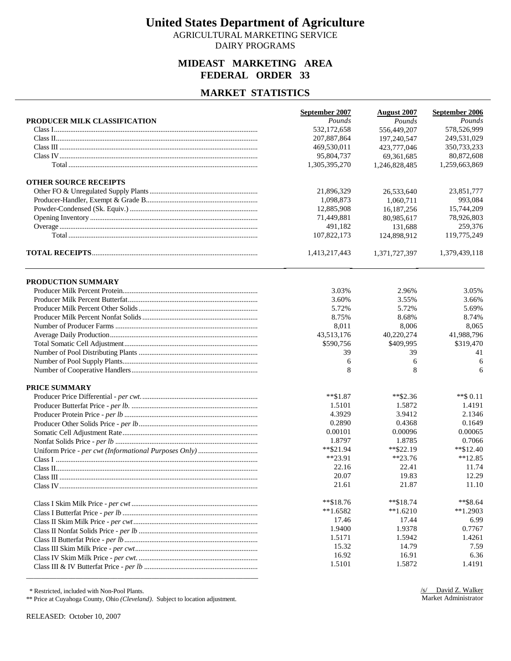AGRICULTURAL MARKETING SERVICE DAIRY PROGRAMS

### **MIDEAST MARKETING AREA FEDERAL ORDER 33**

### **MARKET STATISTICS**

|                              | September 2007 | <b>August 2007</b> | September 2006 |
|------------------------------|----------------|--------------------|----------------|
| PRODUCER MILK CLASSIFICATION | Pounds         | Pounds             | Pounds         |
|                              | 532,172,658    | 556,449,207        | 578,526,999    |
|                              | 207,887,864    | 197.240.547        | 249,531,029    |
|                              | 469,530,011    | 423,777,046        | 350,733,233    |
|                              | 95,804,737     | 69,361,685         | 80,872,608     |
|                              | 1,305,395,270  | 1,246,828,485      | 1,259,663,869  |
| <b>OTHER SOURCE RECEIPTS</b> |                |                    |                |
|                              | 21,896,329     | 26,533,640         | 23,851,777     |
|                              | 1,098,873      | 1.060.711          | 993,084        |
|                              | 12,885,908     | 16,187,256         | 15,744,209     |
|                              | 71,449,881     | 80,985,617         | 78,926,803     |
|                              | 491,182        | 131,688            | 259,376        |
|                              | 107,822,173    | 124,898,912        | 119,775,249    |
|                              | 1,413,217,443  | 1,371,727,397      | 1,379,439,118  |
|                              |                |                    |                |
| PRODUCTION SUMMARY           |                |                    |                |
|                              | 3.03%          | 2.96%              | 3.05%          |
|                              | 3.60%          | 3.55%              | 3.66%          |
|                              | 5.72%          | 5.72%              | 5.69%          |
|                              | 8.75%          | 8.68%              | 8.74%          |
|                              | 8,011          | 8,006              | 8,065          |
|                              | 43,513,176     | 40,220,274         | 41,988,796     |
|                              | \$590,756      | \$409,995          | \$319,470      |
|                              | 39             | 39                 | 41             |
|                              | 6              | 6                  | 6              |
|                              | 8              | 8                  | 6              |
| PRICE SUMMARY                |                |                    |                |
|                              | $*$ $$1.87$    | $*$ \$2.36         | $**$ \$ 0.11   |
|                              | 1.5101         | 1.5872             | 1.4191         |
|                              | 4.3929         | 3.9412             | 2.1346         |
|                              | 0.2890         | 0.4368             | 0.1649         |
|                              | 0.00101        | 0.00096            | 0.00065        |
|                              | 1.8797         | 1.8785             | 0.7066         |
|                              | **\$21.94      | $*$ \$22.19        | $*$ \$12.40    |
|                              | $**23.91$      | $**23.76$          | $**12.85$      |
|                              | 22.16          | 22.41              | 11.74          |
|                              | 20.07          | 19.83              | 12.29          |
|                              | 21.61          | 21.87              | 11.10          |
|                              | $*$ $$18.76$   | $*$ $$18.74$       | $*$ \$8.64     |
|                              | $**1.6582$     | $*1.6210$          | $*1.2903$      |
|                              | 17.46          | 17.44              | 6.99           |
|                              | 1.9400         | 1.9378             | 0.7767         |
|                              | 1.5171         | 1.5942             | 1.4261         |
|                              | 15.32          | 14.79              | 7.59           |
|                              | 16.92          | 16.91              | 6.36           |
|                              | 1.5101         | 1.5872             | 1.4191         |

\* Restricted, included with Non-Pool Plants.

\*\* Price at Cuyahoga County, Ohio *(Cleveland)*. Subject to location adjustment.

\_\_\_\_\_\_\_\_\_\_\_\_\_\_\_\_\_\_\_\_\_\_\_\_\_\_\_\_\_\_\_\_\_\_\_\_\_\_\_\_\_\_\_\_\_\_\_\_\_\_\_\_\_\_\_\_\_\_\_\_\_

RELEASED: October 10, 2007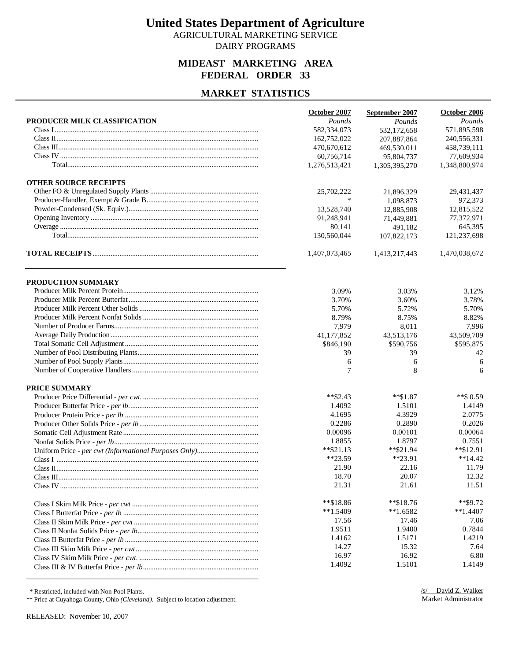AGRICULTURAL MARKETING SERVICE DAIRY PROGRAMS

# **MIDEAST MARKETING AREA FEDERAL ORDER 33**

### **MARKET STATISTICS**

| October 2007<br>October 2006<br>September 2007<br>PRODUCER MILK CLASSIFICATION<br>Pounds<br>Pounds<br>Pounds<br>571,895,598<br>582,334,073<br>532,172,658<br>162,752,022<br>240,556,331<br>207,887,864<br>458,739,111<br>470,670,612<br>469,530,011<br>60,756,714<br>77,609,934<br>95,804,737<br>1,276,513,421<br>1,348,800,974<br>1,305,395,270<br><b>OTHER SOURCE RECEIPTS</b><br>25,702,222<br>29,431,437<br>21,896,329<br>$\ast$<br>972,373<br>1,098,873<br>12,815,522<br>13,528,740<br>12,885,908<br>91,248,941<br>77,372,971<br>71,449,881<br>645,395<br>80,141<br>491,182<br>130,560,044<br>121,237,698<br>107,822,173<br>1,470,038,672<br>1,407,073,465<br>1,413,217,443<br><b>PRODUCTION SUMMARY</b><br>3.03%<br>3.09%<br>3.12%<br>3.70%<br>3.60%<br>3.78%<br>5.70%<br>5.72%<br>5.70%<br>8.79%<br>8.75%<br>8.82%<br>7,979<br>8,011<br>7,996<br>41,177,852<br>43,513,176<br>43,509,709<br>\$846,190<br>\$595,875<br>\$590,756<br>39<br>39<br>42<br>6<br>6<br>6<br>7<br>8<br>PRICE SUMMARY<br>$*$ $$2.43$<br>$**\$1.87$<br>**\$ 0.59<br>1.4092<br>1.5101<br>1.4149<br>4.3929<br>2.0775<br>4.1695<br>0.2026<br>0.2286<br>0.2890<br>0.00064<br>0.00096<br>0.00101<br>1.8855<br>1.8797<br>0.7551 |
|------------------------------------------------------------------------------------------------------------------------------------------------------------------------------------------------------------------------------------------------------------------------------------------------------------------------------------------------------------------------------------------------------------------------------------------------------------------------------------------------------------------------------------------------------------------------------------------------------------------------------------------------------------------------------------------------------------------------------------------------------------------------------------------------------------------------------------------------------------------------------------------------------------------------------------------------------------------------------------------------------------------------------------------------------------------------------------------------------------------------------------------------------------------------------------------------------|
|                                                                                                                                                                                                                                                                                                                                                                                                                                                                                                                                                                                                                                                                                                                                                                                                                                                                                                                                                                                                                                                                                                                                                                                                      |
|                                                                                                                                                                                                                                                                                                                                                                                                                                                                                                                                                                                                                                                                                                                                                                                                                                                                                                                                                                                                                                                                                                                                                                                                      |
|                                                                                                                                                                                                                                                                                                                                                                                                                                                                                                                                                                                                                                                                                                                                                                                                                                                                                                                                                                                                                                                                                                                                                                                                      |
|                                                                                                                                                                                                                                                                                                                                                                                                                                                                                                                                                                                                                                                                                                                                                                                                                                                                                                                                                                                                                                                                                                                                                                                                      |
|                                                                                                                                                                                                                                                                                                                                                                                                                                                                                                                                                                                                                                                                                                                                                                                                                                                                                                                                                                                                                                                                                                                                                                                                      |
|                                                                                                                                                                                                                                                                                                                                                                                                                                                                                                                                                                                                                                                                                                                                                                                                                                                                                                                                                                                                                                                                                                                                                                                                      |
|                                                                                                                                                                                                                                                                                                                                                                                                                                                                                                                                                                                                                                                                                                                                                                                                                                                                                                                                                                                                                                                                                                                                                                                                      |
|                                                                                                                                                                                                                                                                                                                                                                                                                                                                                                                                                                                                                                                                                                                                                                                                                                                                                                                                                                                                                                                                                                                                                                                                      |
|                                                                                                                                                                                                                                                                                                                                                                                                                                                                                                                                                                                                                                                                                                                                                                                                                                                                                                                                                                                                                                                                                                                                                                                                      |
|                                                                                                                                                                                                                                                                                                                                                                                                                                                                                                                                                                                                                                                                                                                                                                                                                                                                                                                                                                                                                                                                                                                                                                                                      |
|                                                                                                                                                                                                                                                                                                                                                                                                                                                                                                                                                                                                                                                                                                                                                                                                                                                                                                                                                                                                                                                                                                                                                                                                      |
|                                                                                                                                                                                                                                                                                                                                                                                                                                                                                                                                                                                                                                                                                                                                                                                                                                                                                                                                                                                                                                                                                                                                                                                                      |
|                                                                                                                                                                                                                                                                                                                                                                                                                                                                                                                                                                                                                                                                                                                                                                                                                                                                                                                                                                                                                                                                                                                                                                                                      |
|                                                                                                                                                                                                                                                                                                                                                                                                                                                                                                                                                                                                                                                                                                                                                                                                                                                                                                                                                                                                                                                                                                                                                                                                      |
|                                                                                                                                                                                                                                                                                                                                                                                                                                                                                                                                                                                                                                                                                                                                                                                                                                                                                                                                                                                                                                                                                                                                                                                                      |
|                                                                                                                                                                                                                                                                                                                                                                                                                                                                                                                                                                                                                                                                                                                                                                                                                                                                                                                                                                                                                                                                                                                                                                                                      |
|                                                                                                                                                                                                                                                                                                                                                                                                                                                                                                                                                                                                                                                                                                                                                                                                                                                                                                                                                                                                                                                                                                                                                                                                      |
|                                                                                                                                                                                                                                                                                                                                                                                                                                                                                                                                                                                                                                                                                                                                                                                                                                                                                                                                                                                                                                                                                                                                                                                                      |
|                                                                                                                                                                                                                                                                                                                                                                                                                                                                                                                                                                                                                                                                                                                                                                                                                                                                                                                                                                                                                                                                                                                                                                                                      |
|                                                                                                                                                                                                                                                                                                                                                                                                                                                                                                                                                                                                                                                                                                                                                                                                                                                                                                                                                                                                                                                                                                                                                                                                      |
|                                                                                                                                                                                                                                                                                                                                                                                                                                                                                                                                                                                                                                                                                                                                                                                                                                                                                                                                                                                                                                                                                                                                                                                                      |
|                                                                                                                                                                                                                                                                                                                                                                                                                                                                                                                                                                                                                                                                                                                                                                                                                                                                                                                                                                                                                                                                                                                                                                                                      |
|                                                                                                                                                                                                                                                                                                                                                                                                                                                                                                                                                                                                                                                                                                                                                                                                                                                                                                                                                                                                                                                                                                                                                                                                      |
|                                                                                                                                                                                                                                                                                                                                                                                                                                                                                                                                                                                                                                                                                                                                                                                                                                                                                                                                                                                                                                                                                                                                                                                                      |
|                                                                                                                                                                                                                                                                                                                                                                                                                                                                                                                                                                                                                                                                                                                                                                                                                                                                                                                                                                                                                                                                                                                                                                                                      |
|                                                                                                                                                                                                                                                                                                                                                                                                                                                                                                                                                                                                                                                                                                                                                                                                                                                                                                                                                                                                                                                                                                                                                                                                      |
|                                                                                                                                                                                                                                                                                                                                                                                                                                                                                                                                                                                                                                                                                                                                                                                                                                                                                                                                                                                                                                                                                                                                                                                                      |
|                                                                                                                                                                                                                                                                                                                                                                                                                                                                                                                                                                                                                                                                                                                                                                                                                                                                                                                                                                                                                                                                                                                                                                                                      |
|                                                                                                                                                                                                                                                                                                                                                                                                                                                                                                                                                                                                                                                                                                                                                                                                                                                                                                                                                                                                                                                                                                                                                                                                      |
|                                                                                                                                                                                                                                                                                                                                                                                                                                                                                                                                                                                                                                                                                                                                                                                                                                                                                                                                                                                                                                                                                                                                                                                                      |
|                                                                                                                                                                                                                                                                                                                                                                                                                                                                                                                                                                                                                                                                                                                                                                                                                                                                                                                                                                                                                                                                                                                                                                                                      |
|                                                                                                                                                                                                                                                                                                                                                                                                                                                                                                                                                                                                                                                                                                                                                                                                                                                                                                                                                                                                                                                                                                                                                                                                      |
| $*$ $$21.13$<br>$*$ \$12.91<br>**\$21.94                                                                                                                                                                                                                                                                                                                                                                                                                                                                                                                                                                                                                                                                                                                                                                                                                                                                                                                                                                                                                                                                                                                                                             |
| $**23.59$<br>$*23.91$<br>$**14.42$                                                                                                                                                                                                                                                                                                                                                                                                                                                                                                                                                                                                                                                                                                                                                                                                                                                                                                                                                                                                                                                                                                                                                                   |
| 21.90<br>22.16<br>11.79                                                                                                                                                                                                                                                                                                                                                                                                                                                                                                                                                                                                                                                                                                                                                                                                                                                                                                                                                                                                                                                                                                                                                                              |
| 18.70<br>20.07<br>12.32                                                                                                                                                                                                                                                                                                                                                                                                                                                                                                                                                                                                                                                                                                                                                                                                                                                                                                                                                                                                                                                                                                                                                                              |
| 21.31<br>11.51<br>21.61                                                                                                                                                                                                                                                                                                                                                                                                                                                                                                                                                                                                                                                                                                                                                                                                                                                                                                                                                                                                                                                                                                                                                                              |
| $*$ $$9.72$<br>$*$ $$18.86$<br>$*$ $$18.76$                                                                                                                                                                                                                                                                                                                                                                                                                                                                                                                                                                                                                                                                                                                                                                                                                                                                                                                                                                                                                                                                                                                                                          |
| $**1.5409$<br>$*1.6582$<br>$**1.4407$                                                                                                                                                                                                                                                                                                                                                                                                                                                                                                                                                                                                                                                                                                                                                                                                                                                                                                                                                                                                                                                                                                                                                                |
| 17.56<br>17.46<br>7.06                                                                                                                                                                                                                                                                                                                                                                                                                                                                                                                                                                                                                                                                                                                                                                                                                                                                                                                                                                                                                                                                                                                                                                               |
| 1.9511<br>0.7844<br>1.9400                                                                                                                                                                                                                                                                                                                                                                                                                                                                                                                                                                                                                                                                                                                                                                                                                                                                                                                                                                                                                                                                                                                                                                           |
| 1.4162<br>1.5171<br>1.4219                                                                                                                                                                                                                                                                                                                                                                                                                                                                                                                                                                                                                                                                                                                                                                                                                                                                                                                                                                                                                                                                                                                                                                           |
| 14.27<br>15.32<br>7.64                                                                                                                                                                                                                                                                                                                                                                                                                                                                                                                                                                                                                                                                                                                                                                                                                                                                                                                                                                                                                                                                                                                                                                               |
| 16.92<br>16.97<br>6.80                                                                                                                                                                                                                                                                                                                                                                                                                                                                                                                                                                                                                                                                                                                                                                                                                                                                                                                                                                                                                                                                                                                                                                               |
| 1.4092<br>1.5101<br>1.4149                                                                                                                                                                                                                                                                                                                                                                                                                                                                                                                                                                                                                                                                                                                                                                                                                                                                                                                                                                                                                                                                                                                                                                           |

\* Restricted, included with Non-Pool Plants.

\*\* Price at Cuyahoga County, Ohio *(Cleveland)*. Subject to location adjustment.

RELEASED: November 10, 2007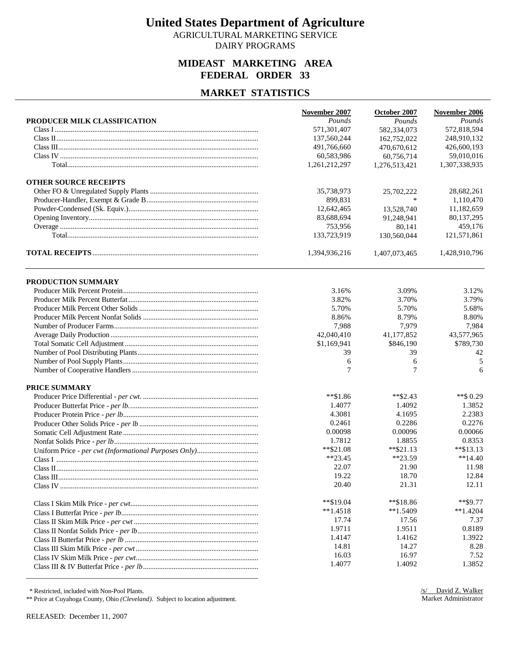AGRICULTURAL MARKETING SERVICE DAIRY PROGRAMS

### **MIDEAST MARKETING AREA FEDERAL ORDER 33**

### **MARKET STATISTICS**

|                              | November 2007 | October 2007  | November 2006 |
|------------------------------|---------------|---------------|---------------|
| PRODUCER MILK CLASSIFICATION | Pounds        | Pounds        | Pounds        |
|                              | 571,301,407   | 582,334,073   | 572,818,594   |
|                              | 137,560,244   | 162,752,022   | 248,910,132   |
|                              | 491,766,660   | 470,670,612   | 426,600,193   |
|                              | 60,583,986    | 60,756,714    | 59,010,016    |
|                              | 1,261,212,297 | 1,276,513,421 | 1,307,338,935 |
| <b>OTHER SOURCE RECEIPTS</b> |               |               |               |
|                              | 35,738,973    | 25,702,222    | 28,682,261    |
|                              | 899,831       |               | 1,110,470     |
|                              | 12,642,465    | 13,528,740    | 11,182,659    |
|                              | 83,688,694    | 91,248,941    | 80,137,295    |
|                              | 753,956       | 80,141        | 459,176       |
|                              | 133,723,919   | 130,560,044   | 121,571,861   |
|                              | 1,394,936,216 | 1,407,073,465 | 1,428,910,796 |
| PRODUCTION SUMMARY           |               |               |               |
|                              |               |               |               |
|                              | 3.16%         | 3.09%         | 3.12%         |
|                              | 3.82%         | 3.70%         | 3.79%         |
|                              | 5.70%         | 5.70%         | 5.68%         |
|                              | 8.86%         | 8.79%         | 8.80%         |
|                              | 7,988         | 7,979         | 7,984         |
|                              | 42,040,410    | 41,177,852    | 43,577,965    |
|                              | \$1,169,941   | \$846,190     | \$789,730     |
|                              | 39            | 39            | 42            |
|                              | 6             | 6             | 5             |
|                              | $\tau$        | 7             | 6             |
| <b>PRICE SUMMARY</b>         |               |               |               |
|                              | $*$ $$1.86$   | $*$ \$2.43    | **\$ $0.29$   |
|                              | 1.4077        | 1.4092        | 1.3852        |
|                              | 4.3081        | 4.1695        | 2.2383        |
|                              | 0.2461        | 0.2286        | 0.2276        |
|                              | 0.00098       | 0.00096       | 0.00066       |
|                              | 1.7812        | 1.8855        | 0.8353        |
|                              | $*$ $$21.08$  | $*$ $$21.13$  | $*$ \$13.13   |
|                              | $**23.45$     | $*23.59$      | $**14.40$     |
|                              | 22.07         | 21.90         | 11.98         |
|                              | 19.22         | 18.70         | 12.84         |
|                              | 20.40         | 21.31         | 12.11         |
|                              | **\$19.04     | $*$ $$18.86$  | $**$ \$9.77   |
|                              | $**1.4518$    | $*1.5409$     | $*1.4204$     |
|                              | 17.74         | 17.56         | 7.37          |
|                              | 1.9711        | 1.9511        | 0.8189        |
|                              | 1.4147        | 1.4162        | 1.3922        |
|                              | 14.81         | 14.27         | 8.28          |
|                              | 16.03         | 16.97         | 7.52          |
|                              | 1.4077        | 1.4092        | 1.3852        |

\* Restricted, included with Non-Pool Plants.

\*\* Price at Cuyahoga County, Ohio *(Cleveland)*. Subject to location adjustment.

\_\_\_\_\_\_\_\_\_\_\_\_\_\_\_\_\_\_\_\_\_\_\_\_\_\_\_\_\_\_\_\_\_\_\_\_\_\_\_\_\_\_\_\_\_\_\_\_\_\_\_\_\_\_\_\_\_\_\_\_\_

RELEASED: December 11, 2007